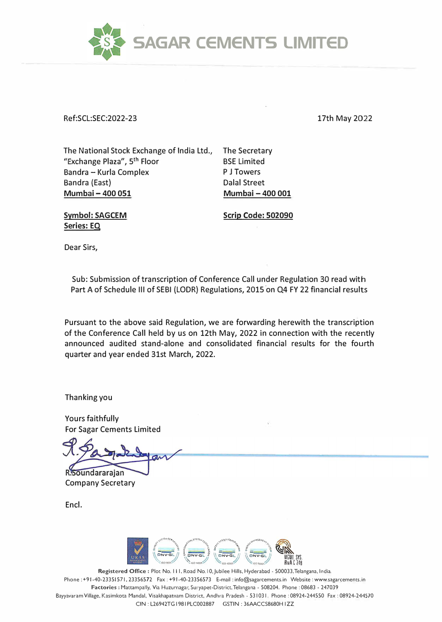

Ref:SCL:SEC:2022-23

17th May 2022

The National Stock Exchange of India Ltd., "Exchange Plaza", 5 th Floor Bandra - Kurla Complex Bandra (East) **Mumbai - 400 051** 

The Secretary BSE Limited P J Towers Dalal Street **Mumbai - 400 001** 

**Symbol: SAGCEM Series: EQ** 

**Scrip Code: 502090** 

Dear Sirs,

Sub: Submission of transcription of Conference Call under Regulation 30 read with Part A of Schedule III of SEBI (LODR) Regulations, 2015 on Q4 FY 22 financial results

Pursuant to the above said Regulation, we are forwarding herewith the transcription of the Conference Call held by us on 12th May, 2022 in connection with the recently announced audited stand-alone and consolidated financial results for the fourth quarter and year ended 31st March, 2022.

Thanking you

Yours faithfully For Sagar Cements Limited

R.Soundararajan Company Secretary

Encl.



**Registered Office:** Plot No. 111, Road No. I 0,Jubilee Hills, Hyderabad - 500033,Telangana, India. Phone : +91-40-2335 I 571, 23356572 Fax : +91-40-23356573 E-mail : info@sagarcements.in Website : www.sagarcemems.in Factories : Mattampally, Via Huzurnagar, Suryapet-District, Telangana - 508204. Phone : 08683 - 247039 Bayyavaram Village, Kasimkota Mandal, Visakhapatnam District, Andhra Pradesh - 531031. Phone : 08924-244550 Fax : 08924-244570 CIN : L26942TG 1981 PLC002887 GSTIN : 36AACCS8680H I ZZ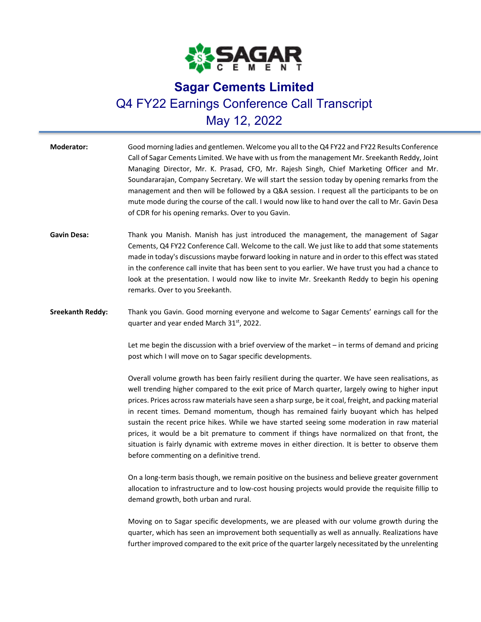

## **Sagar Cements Limited**  Q4 FY22 Earnings Conference Call Transcript May 12, 2022

| <b>Moderator:</b>       | Good morning ladies and gentlemen. Welcome you all to the Q4 FY22 and FY22 Results Conference<br>Call of Sagar Cements Limited. We have with us from the management Mr. Sreekanth Reddy, Joint<br>Managing Director, Mr. K. Prasad, CFO, Mr. Rajesh Singh, Chief Marketing Officer and Mr.<br>Soundararajan, Company Secretary. We will start the session today by opening remarks from the<br>management and then will be followed by a Q&A session. I request all the participants to be on<br>mute mode during the course of the call. I would now like to hand over the call to Mr. Gavin Desa<br>of CDR for his opening remarks. Over to you Gavin.                                                                                               |
|-------------------------|--------------------------------------------------------------------------------------------------------------------------------------------------------------------------------------------------------------------------------------------------------------------------------------------------------------------------------------------------------------------------------------------------------------------------------------------------------------------------------------------------------------------------------------------------------------------------------------------------------------------------------------------------------------------------------------------------------------------------------------------------------|
| <b>Gavin Desa:</b>      | Thank you Manish. Manish has just introduced the management, the management of Sagar<br>Cements, Q4 FY22 Conference Call. Welcome to the call. We just like to add that some statements<br>made in today's discussions maybe forward looking in nature and in order to this effect was stated<br>in the conference call invite that has been sent to you earlier. We have trust you had a chance to<br>look at the presentation. I would now like to invite Mr. Sreekanth Reddy to begin his opening<br>remarks. Over to you Sreekanth.                                                                                                                                                                                                                |
| <b>Sreekanth Reddy:</b> | Thank you Gavin. Good morning everyone and welcome to Sagar Cements' earnings call for the<br>quarter and year ended March 31 <sup>st</sup> , 2022.<br>Let me begin the discussion with a brief overview of the market - in terms of demand and pricing<br>post which I will move on to Sagar specific developments.                                                                                                                                                                                                                                                                                                                                                                                                                                   |
|                         | Overall volume growth has been fairly resilient during the quarter. We have seen realisations, as<br>well trending higher compared to the exit price of March quarter, largely owing to higher input<br>prices. Prices across raw materials have seen a sharp surge, be it coal, freight, and packing material<br>in recent times. Demand momentum, though has remained fairly buoyant which has helped<br>sustain the recent price hikes. While we have started seeing some moderation in raw material<br>prices, it would be a bit premature to comment if things have normalized on that front, the<br>situation is fairly dynamic with extreme moves in either direction. It is better to observe them<br>before commenting on a definitive trend. |
|                         | On a long-term basis though, we remain positive on the business and believe greater government<br>allocation to infrastructure and to low-cost housing projects would provide the requisite fillip to                                                                                                                                                                                                                                                                                                                                                                                                                                                                                                                                                  |

demand growth, both urban and rural.

Moving on to Sagar specific developments, we are pleased with our volume growth during the quarter, which has seen an improvement both sequentially as well as annually. Realizations have further improved compared to the exit price of the quarter largely necessitated by the unrelenting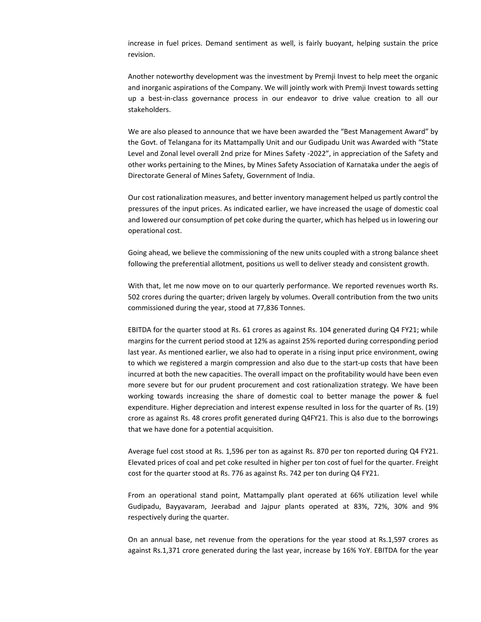increase in fuel prices. Demand sentiment as well, is fairly buoyant, helping sustain the price revision.

Another noteworthy development was the investment by Premji Invest to help meet the organic and inorganic aspirations of the Company. We will jointly work with Premji Invest towards setting up a best-in-class governance process in our endeavor to drive value creation to all our stakeholders.

We are also pleased to announce that we have been awarded the "Best Management Award" by the Govt. of Telangana for its Mattampally Unit and our Gudipadu Unit was Awarded with "State Level and Zonal level overall 2nd prize for Mines Safety ‐2022", in appreciation of the Safety and other works pertaining to the Mines, by Mines Safety Association of Karnataka under the aegis of Directorate General of Mines Safety, Government of India.

Our cost rationalization measures, and better inventory management helped us partly control the pressures of the input prices. As indicated earlier, we have increased the usage of domestic coal and lowered our consumption of pet coke during the quarter, which has helped us in lowering our operational cost.

Going ahead, we believe the commissioning of the new units coupled with a strong balance sheet following the preferential allotment, positions us well to deliver steady and consistent growth.

With that, let me now move on to our quarterly performance. We reported revenues worth Rs. 502 crores during the quarter; driven largely by volumes. Overall contribution from the two units commissioned during the year, stood at 77,836 Tonnes.

EBITDA for the quarter stood at Rs. 61 crores as against Rs. 104 generated during Q4 FY21; while margins for the current period stood at 12% as against 25% reported during corresponding period last year. As mentioned earlier, we also had to operate in a rising input price environment, owing to which we registered a margin compression and also due to the start-up costs that have been incurred at both the new capacities. The overall impact on the profitability would have been even more severe but for our prudent procurement and cost rationalization strategy. We have been working towards increasing the share of domestic coal to better manage the power & fuel expenditure. Higher depreciation and interest expense resulted in loss for the quarter of Rs. (19) crore as against Rs. 48 crores profit generated during Q4FY21. This is also due to the borrowings that we have done for a potential acquisition.

Average fuel cost stood at Rs. 1,596 per ton as against Rs. 870 per ton reported during Q4 FY21. Elevated prices of coal and pet coke resulted in higher per ton cost of fuel for the quarter. Freight cost for the quarter stood at Rs. 776 as against Rs. 742 per ton during Q4 FY21.

From an operational stand point, Mattampally plant operated at 66% utilization level while Gudipadu, Bayyavaram, Jeerabad and Jajpur plants operated at 83%, 72%, 30% and 9% respectively during the quarter.

On an annual base, net revenue from the operations for the year stood at Rs.1,597 crores as against Rs.1,371 crore generated during the last year, increase by 16% YoY. EBITDA for the year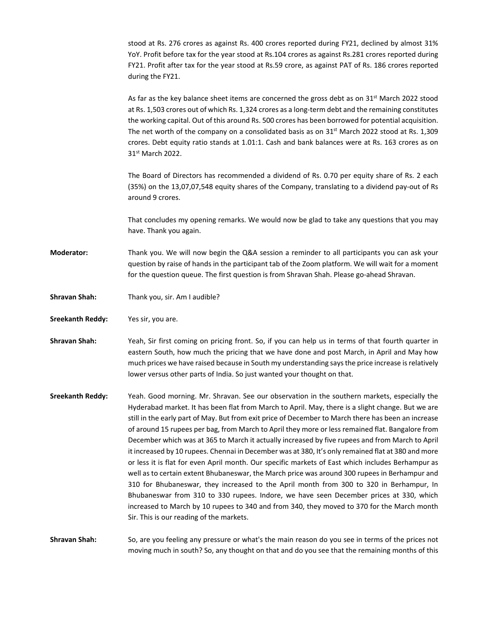stood at Rs. 276 crores as against Rs. 400 crores reported during FY21, declined by almost 31% YoY. Profit before tax for the year stood at Rs.104 crores as against Rs.281 crores reported during FY21. Profit after tax for the year stood at Rs.59 crore, as against PAT of Rs. 186 crores reported during the FY21.

As far as the key balance sheet items are concerned the gross debt as on  $31^{st}$  March 2022 stood at Rs. 1,503 crores out of which Rs. 1,324 crores as a long‐term debt and the remaining constitutes the working capital. Out of this around Rs. 500 crores has been borrowed for potential acquisition. The net worth of the company on a consolidated basis as on  $31<sup>st</sup>$  March 2022 stood at Rs. 1,309 crores. Debt equity ratio stands at 1.01:1. Cash and bank balances were at Rs. 163 crores as on 31st March 2022.

The Board of Directors has recommended a dividend of Rs. 0.70 per equity share of Rs. 2 each (35%) on the 13,07,07,548 equity shares of the Company, translating to a dividend pay‐out of Rs around 9 crores.

That concludes my opening remarks. We would now be glad to take any questions that you may have. Thank you again.

**Moderator:** Thank you. We will now begin the Q&A session a reminder to all participants you can ask your question by raise of hands in the participant tab of the Zoom platform. We will wait for a moment for the question queue. The first question is from Shravan Shah. Please go-ahead Shravan.

**Shravan Shah:**  Thank you, sir. Am I audible?

**Sreekanth Reddy:**  Yes sir, you are.

**Shravan Shah:**  Yeah, Sir first coming on pricing front. So, if you can help us in terms of that fourth quarter in eastern South, how much the pricing that we have done and post March, in April and May how much prices we have raised because in South my understanding saysthe price increase isrelatively lower versus other parts of India. So just wanted your thought on that.

**Sreekanth Reddy:**  Yeah. Good morning. Mr. Shravan. See our observation in the southern markets, especially the Hyderabad market. It has been flat from March to April. May, there is a slight change. But we are still in the early part of May. But from exit price of December to March there has been an increase of around 15 rupees per bag, from March to April they more or less remained flat. Bangalore from December which was at 365 to March it actually increased by five rupees and from March to April it increased by 10 rupees. Chennai in December was at 380, It's only remained flat at 380 and more or less it is flat for even April month. Our specific markets of East which includes Berhampur as well as to certain extent Bhubaneswar, the March price was around 300 rupees in Berhampur and 310 for Bhubaneswar, they increased to the April month from 300 to 320 in Berhampur, In Bhubaneswar from 310 to 330 rupees. Indore, we have seen December prices at 330, which increased to March by 10 rupees to 340 and from 340, they moved to 370 for the March month Sir. This is our reading of the markets.

**Shravan Shah:**  So, are you feeling any pressure or what's the main reason do you see in terms of the prices not moving much in south? So, any thought on that and do you see that the remaining months of this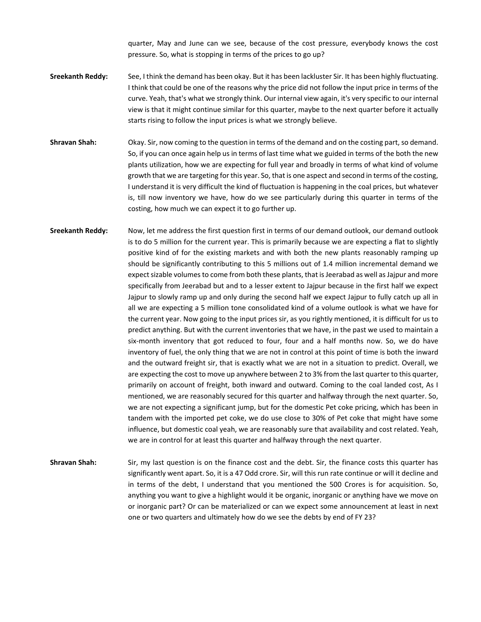quarter, May and June can we see, because of the cost pressure, everybody knows the cost pressure. So, what is stopping in terms of the prices to go up?

- **Sreekanth Reddy:**  See, I think the demand has been okay. But it has been lackluster Sir. It has been highly fluctuating. I think that could be one of the reasons why the price did not follow the input price in terms of the curve. Yeah, that's what we strongly think. Our internal view again, it's very specific to our internal view is that it might continue similar for this quarter, maybe to the next quarter before it actually starts rising to follow the input prices is what we strongly believe.
- **Shravan Shah:** Okay. Sir, now coming to the question in terms of the demand and on the costing part, so demand. So, if you can once again help us in terms of last time what we guided in terms of the both the new plants utilization, how we are expecting for full year and broadly in terms of what kind of volume growth that we are targeting for this year. So, that is one aspect and second in terms of the costing, I understand it is very difficult the kind of fluctuation is happening in the coal prices, but whatever is, till now inventory we have, how do we see particularly during this quarter in terms of the costing, how much we can expect it to go further up.
- **Sreekanth Reddy:**  Now, let me address the first question first in terms of our demand outlook, our demand outlook is to do 5 million for the current year. This is primarily because we are expecting a flat to slightly positive kind of for the existing markets and with both the new plants reasonably ramping up should be significantly contributing to this 5 millions out of 1.4 million incremental demand we expect sizable volumes to come from both these plants, that is Jeerabad as well as Jajpur and more specifically from Jeerabad but and to a lesser extent to Jajpur because in the first half we expect Jajpur to slowly ramp up and only during the second half we expect Jajpur to fully catch up all in all we are expecting a 5 million tone consolidated kind of a volume outlook is what we have for the current year. Now going to the input prices sir, as you rightly mentioned, it is difficult for us to predict anything. But with the current inventories that we have, in the past we used to maintain a six-month inventory that got reduced to four, four and a half months now. So, we do have inventory of fuel, the only thing that we are not in control at this point of time is both the inward and the outward freight sir, that is exactly what we are not in a situation to predict. Overall, we are expecting the cost to move up anywhere between 2 to 3% from the last quarter to this quarter, primarily on account of freight, both inward and outward. Coming to the coal landed cost, As I mentioned, we are reasonably secured for this quarter and halfway through the next quarter. So, we are not expecting a significant jump, but for the domestic Pet coke pricing, which has been in tandem with the imported pet coke, we do use close to 30% of Pet coke that might have some influence, but domestic coal yeah, we are reasonably sure that availability and cost related. Yeah, we are in control for at least this quarter and halfway through the next quarter.
- **Shravan Shah:**  Sir, my last question is on the finance cost and the debt. Sir, the finance costs this quarter has significantly went apart. So, it is a 47 Odd crore. Sir, will this run rate continue or will it decline and in terms of the debt, I understand that you mentioned the 500 Crores is for acquisition. So, anything you want to give a highlight would it be organic, inorganic or anything have we move on or inorganic part? Or can be materialized or can we expect some announcement at least in next one or two quarters and ultimately how do we see the debts by end of FY 23?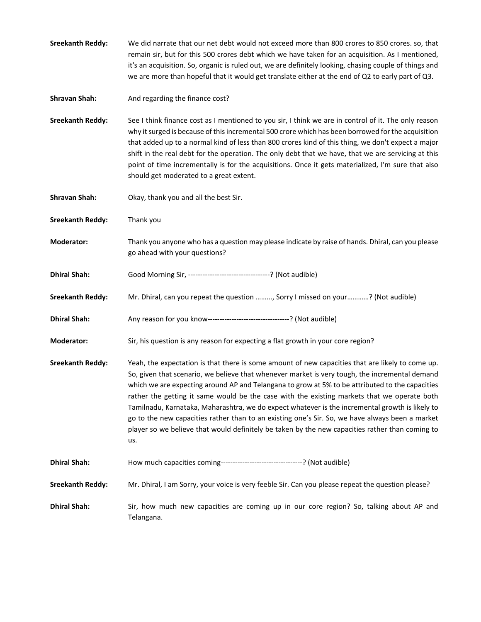- **Sreekanth Reddy:**  We did narrate that our net debt would not exceed more than 800 crores to 850 crores. so, that remain sir, but for this 500 crores debt which we have taken for an acquisition. As I mentioned, it's an acquisition. So, organic is ruled out, we are definitely looking, chasing couple of things and we are more than hopeful that it would get translate either at the end of Q2 to early part of Q3.
- **Shravan Shah:**  And regarding the finance cost?

**Sreekanth Reddy:**  See I think finance cost as I mentioned to you sir, I think we are in control of it. The only reason why it surged is because of this incremental 500 crore which has been borrowed for the acquisition that added up to a normal kind of less than 800 crores kind of this thing, we don't expect a major shift in the real debt for the operation. The only debt that we have, that we are servicing at this point of time incrementally is for the acquisitions. Once it gets materialized, I'm sure that also should get moderated to a great extent.

- **Shravan Shah:**  Okay, thank you and all the best Sir.
- **Sreekanth Reddy:**  Thank you
- **Moderator:**  Thank you anyone who has a question may please indicate by raise of hands. Dhiral, can you please go ahead with your questions?
- **Dhiral Shah:**  Good Morning Sir, ‐‐‐‐‐‐‐‐‐‐‐‐‐‐‐‐‐‐‐‐‐‐‐‐‐‐‐‐‐‐‐‐‐‐? (Not audible)
- **Sreekanth Reddy:**  Mr. Dhiral, can you repeat the question ……..., Sorry I missed on your…………? (Not audible)
- **Dhiral Shah:**  Any reason for you know‐‐‐‐‐‐‐‐‐‐‐‐‐‐‐‐‐‐‐‐‐‐‐‐‐‐‐‐‐‐‐‐‐‐? (Not audible)
- **Moderator:** Sir, his question is any reason for expecting a flat growth in your core region?
- **Sreekanth Reddy:**  Yeah, the expectation is that there is some amount of new capacities that are likely to come up. So, given that scenario, we believe that whenever market is very tough, the incremental demand which we are expecting around AP and Telangana to grow at 5% to be attributed to the capacities rather the getting it same would be the case with the existing markets that we operate both Tamilnadu, Karnataka, Maharashtra, we do expect whatever is the incremental growth is likely to go to the new capacities rather than to an existing one's Sir. So, we have always been a market player so we believe that would definitely be taken by the new capacities rather than coming to us.
- **Dhiral Shah: How much capacities coming---------------------------------?** (Not audible)
- **Sreekanth Reddy:**  Mr. Dhiral, I am Sorry, your voice is very feeble Sir. Can you please repeat the question please?
- **Dhiral Shah:**  Sir, how much new capacities are coming up in our core region? So, talking about AP and Telangana.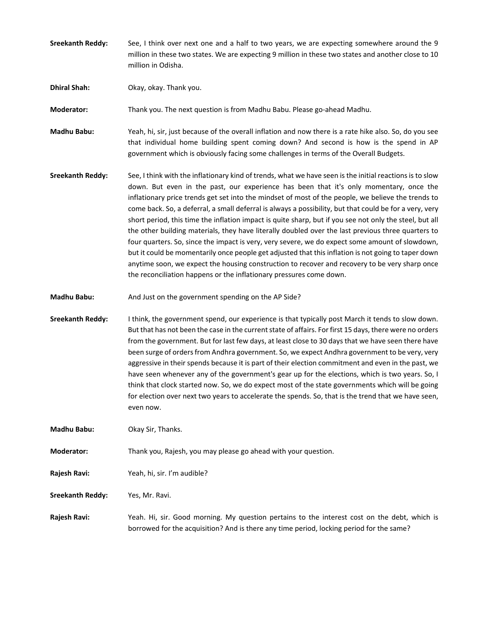**Sreekanth Reddy:**  See, I think over next one and a half to two years, we are expecting somewhere around the 9 million in these two states. We are expecting 9 million in these two states and another close to 10 million in Odisha.

**Dhiral Shah: Okay, okay. Thank you.** 

**Moderator:** Thank you. The next question is from Madhu Babu. Please go-ahead Madhu.

**Madhu Babu:**  Yeah, hi, sir, just because of the overall inflation and now there is a rate hike also. So, do you see that individual home building spent coming down? And second is how is the spend in AP government which is obviously facing some challenges in terms of the Overall Budgets.

**Sreekanth Reddy:**  See, I think with the inflationary kind of trends, what we have seen is the initial reactionsis to slow down. But even in the past, our experience has been that it's only momentary, once the inflationary price trends get set into the mindset of most of the people, we believe the trends to come back. So, a deferral, a small deferral is always a possibility, but that could be for a very, very short period, this time the inflation impact is quite sharp, but if you see not only the steel, but all the other building materials, they have literally doubled over the last previous three quarters to four quarters. So, since the impact is very, very severe, we do expect some amount of slowdown, but it could be momentarily once people get adjusted that this inflation is not going to taper down anytime soon, we expect the housing construction to recover and recovery to be very sharp once the reconciliation happens or the inflationary pressures come down.

**Madhu Babu:** And Just on the government spending on the AP Side?

**Sreekanth Reddy:**  I think, the government spend, our experience is that typically post March it tends to slow down. But that has not been the case in the current state of affairs. For first 15 days, there were no orders from the government. But for last few days, at least close to 30 days that we have seen there have been surge of orders from Andhra government. So, we expect Andhra government to be very, very aggressive in their spends because it is part of their election commitment and even in the past, we have seen whenever any of the government's gear up for the elections, which is two years. So, I think that clock started now. So, we do expect most of the state governments which will be going for election over next two years to accelerate the spends. So, that is the trend that we have seen, even now.

**Madhu Babu:** Okay Sir, Thanks.

**Moderator:**  Thank you, Rajesh, you may please go ahead with your question.

**Rajesh Ravi:**  Yeah, hi, sir. I'm audible?

**Sreekanth Reddy:**  Yes, Mr. Ravi.

**Rajesh Ravi:**  Yeah. Hi, sir. Good morning. My question pertains to the interest cost on the debt, which is borrowed for the acquisition? And is there any time period, locking period for the same?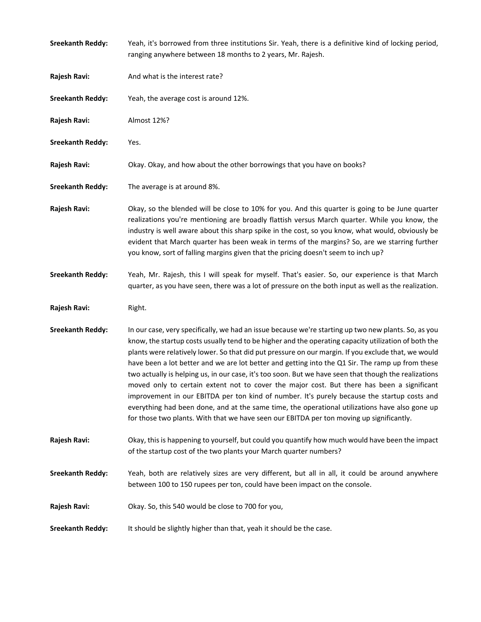| <b>Sreekanth Reddy:</b> | Yeah, it's borrowed from three institutions Sir. Yeah, there is a definitive kind of locking period,<br>ranging anywhere between 18 months to 2 years, Mr. Rajesh.                                                                                                                                                                                                                                                                                                                                                                                                                                                                                                                                                                                                                                                                                                                                                          |
|-------------------------|-----------------------------------------------------------------------------------------------------------------------------------------------------------------------------------------------------------------------------------------------------------------------------------------------------------------------------------------------------------------------------------------------------------------------------------------------------------------------------------------------------------------------------------------------------------------------------------------------------------------------------------------------------------------------------------------------------------------------------------------------------------------------------------------------------------------------------------------------------------------------------------------------------------------------------|
| Rajesh Ravi:            | And what is the interest rate?                                                                                                                                                                                                                                                                                                                                                                                                                                                                                                                                                                                                                                                                                                                                                                                                                                                                                              |
| <b>Sreekanth Reddy:</b> | Yeah, the average cost is around 12%.                                                                                                                                                                                                                                                                                                                                                                                                                                                                                                                                                                                                                                                                                                                                                                                                                                                                                       |
| Rajesh Ravi:            | Almost 12%?                                                                                                                                                                                                                                                                                                                                                                                                                                                                                                                                                                                                                                                                                                                                                                                                                                                                                                                 |
| <b>Sreekanth Reddy:</b> | Yes.                                                                                                                                                                                                                                                                                                                                                                                                                                                                                                                                                                                                                                                                                                                                                                                                                                                                                                                        |
| Rajesh Ravi:            | Okay. Okay, and how about the other borrowings that you have on books?                                                                                                                                                                                                                                                                                                                                                                                                                                                                                                                                                                                                                                                                                                                                                                                                                                                      |
| <b>Sreekanth Reddy:</b> | The average is at around 8%.                                                                                                                                                                                                                                                                                                                                                                                                                                                                                                                                                                                                                                                                                                                                                                                                                                                                                                |
| Rajesh Ravi:            | Okay, so the blended will be close to 10% for you. And this quarter is going to be June quarter<br>realizations you're mentioning are broadly flattish versus March quarter. While you know, the<br>industry is well aware about this sharp spike in the cost, so you know, what would, obviously be<br>evident that March quarter has been weak in terms of the margins? So, are we starring further<br>you know, sort of falling margins given that the pricing doesn't seem to inch up?                                                                                                                                                                                                                                                                                                                                                                                                                                  |
| <b>Sreekanth Reddy:</b> | Yeah, Mr. Rajesh, this I will speak for myself. That's easier. So, our experience is that March<br>quarter, as you have seen, there was a lot of pressure on the both input as well as the realization.                                                                                                                                                                                                                                                                                                                                                                                                                                                                                                                                                                                                                                                                                                                     |
| Rajesh Ravi:            | Right.                                                                                                                                                                                                                                                                                                                                                                                                                                                                                                                                                                                                                                                                                                                                                                                                                                                                                                                      |
| <b>Sreekanth Reddy:</b> | In our case, very specifically, we had an issue because we're starting up two new plants. So, as you<br>know, the startup costs usually tend to be higher and the operating capacity utilization of both the<br>plants were relatively lower. So that did put pressure on our margin. If you exclude that, we would<br>have been a lot better and we are lot better and getting into the Q1 Sir. The ramp up from these<br>two actually is helping us, in our case, it's too soon. But we have seen that though the realizations<br>moved only to certain extent not to cover the major cost. But there has been a significant<br>improvement in our EBITDA per ton kind of number. It's purely because the startup costs and<br>everything had been done, and at the same time, the operational utilizations have also gone up<br>for those two plants. With that we have seen our EBITDA per ton moving up significantly. |
| Rajesh Ravi:            | Okay, this is happening to yourself, but could you quantify how much would have been the impact<br>of the startup cost of the two plants your March quarter numbers?                                                                                                                                                                                                                                                                                                                                                                                                                                                                                                                                                                                                                                                                                                                                                        |
| <b>Sreekanth Reddy:</b> | Yeah, both are relatively sizes are very different, but all in all, it could be around anywhere<br>between 100 to 150 rupees per ton, could have been impact on the console.                                                                                                                                                                                                                                                                                                                                                                                                                                                                                                                                                                                                                                                                                                                                                |
| Rajesh Ravi:            | Okay. So, this 540 would be close to 700 for you,                                                                                                                                                                                                                                                                                                                                                                                                                                                                                                                                                                                                                                                                                                                                                                                                                                                                           |
| <b>Sreekanth Reddy:</b> | It should be slightly higher than that, yeah it should be the case.                                                                                                                                                                                                                                                                                                                                                                                                                                                                                                                                                                                                                                                                                                                                                                                                                                                         |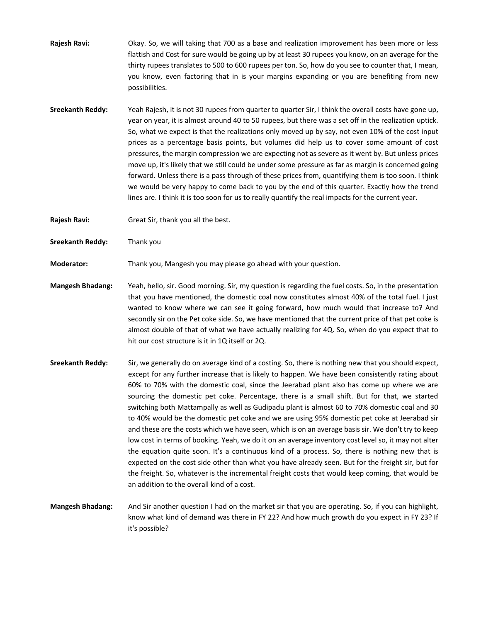**Rajesh Ravi:**  Okay. So, we will taking that 700 as a base and realization improvement has been more or less flattish and Cost for sure would be going up by at least 30 rupees you know, on an average for the thirty rupees translates to 500 to 600 rupees per ton. So, how do you see to counter that, I mean, you know, even factoring that in is your margins expanding or you are benefiting from new possibilities.

**Sreekanth Reddy:**  Yeah Rajesh, it is not 30 rupees from quarter to quarter Sir, I think the overall costs have gone up, year on year, it is almost around 40 to 50 rupees, but there was a set off in the realization uptick. So, what we expect is that the realizations only moved up by say, not even 10% of the cost input prices as a percentage basis points, but volumes did help us to cover some amount of cost pressures, the margin compression we are expecting not as severe as it went by. But unless prices move up, it's likely that we still could be under some pressure as far as margin is concerned going forward. Unless there is a pass through of these prices from, quantifying them is too soon. I think we would be very happy to come back to you by the end of this quarter. Exactly how the trend lines are. I think it is too soon for us to really quantify the real impacts for the current year.

**Rajesh Ravi:** Great Sir, thank you all the best.

**Sreekanth Reddy:**  Thank you

**Moderator:**  Thank you, Mangesh you may please go ahead with your question.

- **Mangesh Bhadang:**  Yeah, hello, sir. Good morning. Sir, my question is regarding the fuel costs. So, in the presentation that you have mentioned, the domestic coal now constitutes almost 40% of the total fuel. I just wanted to know where we can see it going forward, how much would that increase to? And secondly sir on the Pet coke side. So, we have mentioned that the current price of that pet coke is almost double of that of what we have actually realizing for 4Q. So, when do you expect that to hit our cost structure is it in 1Q itself or 2Q.
- **Sreekanth Reddy:**  Sir, we generally do on average kind of a costing. So, there is nothing new that you should expect, except for any further increase that is likely to happen. We have been consistently rating about 60% to 70% with the domestic coal, since the Jeerabad plant also has come up where we are sourcing the domestic pet coke. Percentage, there is a small shift. But for that, we started switching both Mattampally as well as Gudipadu plant is almost 60 to 70% domestic coal and 30 to 40% would be the domestic pet coke and we are using 95% domestic pet coke at Jeerabad sir and these are the costs which we have seen, which is on an average basis sir. We don't try to keep low cost in terms of booking. Yeah, we do it on an average inventory cost level so, it may not alter the equation quite soon. It's a continuous kind of a process. So, there is nothing new that is expected on the cost side other than what you have already seen. But for the freight sir, but for the freight. So, whatever is the incremental freight costs that would keep coming, that would be an addition to the overall kind of a cost.
- **Mangesh Bhadang:**  And Sir another question I had on the market sir that you are operating. So, if you can highlight, know what kind of demand was there in FY 22? And how much growth do you expect in FY 23? If it's possible?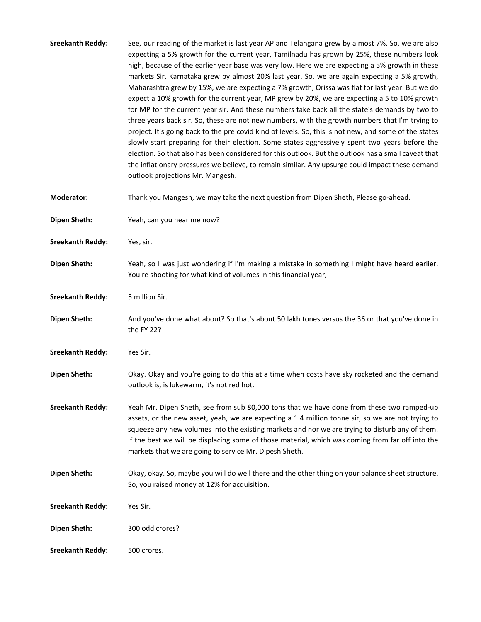| <b>Sreekanth Reddy:</b> | See, our reading of the market is last year AP and Telangana grew by almost 7%. So, we are also<br>expecting a 5% growth for the current year, Tamilnadu has grown by 25%, these numbers look<br>high, because of the earlier year base was very low. Here we are expecting a 5% growth in these<br>markets Sir. Karnataka grew by almost 20% last year. So, we are again expecting a 5% growth,<br>Maharashtra grew by 15%, we are expecting a 7% growth, Orissa was flat for last year. But we do<br>expect a 10% growth for the current year, MP grew by 20%, we are expecting a 5 to 10% growth<br>for MP for the current year sir. And these numbers take back all the state's demands by two to<br>three years back sir. So, these are not new numbers, with the growth numbers that I'm trying to<br>project. It's going back to the pre covid kind of levels. So, this is not new, and some of the states<br>slowly start preparing for their election. Some states aggressively spent two years before the<br>election. So that also has been considered for this outlook. But the outlook has a small caveat that<br>the inflationary pressures we believe, to remain similar. Any upsurge could impact these demand<br>outlook projections Mr. Mangesh. |
|-------------------------|--------------------------------------------------------------------------------------------------------------------------------------------------------------------------------------------------------------------------------------------------------------------------------------------------------------------------------------------------------------------------------------------------------------------------------------------------------------------------------------------------------------------------------------------------------------------------------------------------------------------------------------------------------------------------------------------------------------------------------------------------------------------------------------------------------------------------------------------------------------------------------------------------------------------------------------------------------------------------------------------------------------------------------------------------------------------------------------------------------------------------------------------------------------------------------------------------------------------------------------------------------------------|
| <b>Moderator:</b>       | Thank you Mangesh, we may take the next question from Dipen Sheth, Please go-ahead.                                                                                                                                                                                                                                                                                                                                                                                                                                                                                                                                                                                                                                                                                                                                                                                                                                                                                                                                                                                                                                                                                                                                                                                |
| <b>Dipen Sheth:</b>     | Yeah, can you hear me now?                                                                                                                                                                                                                                                                                                                                                                                                                                                                                                                                                                                                                                                                                                                                                                                                                                                                                                                                                                                                                                                                                                                                                                                                                                         |
| <b>Sreekanth Reddy:</b> | Yes, sir.                                                                                                                                                                                                                                                                                                                                                                                                                                                                                                                                                                                                                                                                                                                                                                                                                                                                                                                                                                                                                                                                                                                                                                                                                                                          |
| <b>Dipen Sheth:</b>     | Yeah, so I was just wondering if I'm making a mistake in something I might have heard earlier.<br>You're shooting for what kind of volumes in this financial year,                                                                                                                                                                                                                                                                                                                                                                                                                                                                                                                                                                                                                                                                                                                                                                                                                                                                                                                                                                                                                                                                                                 |
| <b>Sreekanth Reddy:</b> | 5 million Sir.                                                                                                                                                                                                                                                                                                                                                                                                                                                                                                                                                                                                                                                                                                                                                                                                                                                                                                                                                                                                                                                                                                                                                                                                                                                     |
| <b>Dipen Sheth:</b>     | And you've done what about? So that's about 50 lakh tones versus the 36 or that you've done in<br>the FY 22?                                                                                                                                                                                                                                                                                                                                                                                                                                                                                                                                                                                                                                                                                                                                                                                                                                                                                                                                                                                                                                                                                                                                                       |
| <b>Sreekanth Reddy:</b> | Yes Sir.                                                                                                                                                                                                                                                                                                                                                                                                                                                                                                                                                                                                                                                                                                                                                                                                                                                                                                                                                                                                                                                                                                                                                                                                                                                           |
| <b>Dipen Sheth:</b>     | Okay. Okay and you're going to do this at a time when costs have sky rocketed and the demand<br>outlook is, is lukewarm, it's not red hot.                                                                                                                                                                                                                                                                                                                                                                                                                                                                                                                                                                                                                                                                                                                                                                                                                                                                                                                                                                                                                                                                                                                         |
| <b>Sreekanth Reddy:</b> | Yeah Mr. Dipen Sheth, see from sub 80,000 tons that we have done from these two ramped-up<br>assets, or the new asset, yeah, we are expecting a 1.4 million tonne sir, so we are not trying to<br>squeeze any new volumes into the existing markets and nor we are trying to disturb any of them.<br>If the best we will be displacing some of those material, which was coming from far off into the<br>markets that we are going to service Mr. Dipesh Sheth.                                                                                                                                                                                                                                                                                                                                                                                                                                                                                                                                                                                                                                                                                                                                                                                                    |
| <b>Dipen Sheth:</b>     | Okay, okay. So, maybe you will do well there and the other thing on your balance sheet structure.<br>So, you raised money at 12% for acquisition.                                                                                                                                                                                                                                                                                                                                                                                                                                                                                                                                                                                                                                                                                                                                                                                                                                                                                                                                                                                                                                                                                                                  |
| <b>Sreekanth Reddy:</b> | Yes Sir.                                                                                                                                                                                                                                                                                                                                                                                                                                                                                                                                                                                                                                                                                                                                                                                                                                                                                                                                                                                                                                                                                                                                                                                                                                                           |
| <b>Dipen Sheth:</b>     | 300 odd crores?                                                                                                                                                                                                                                                                                                                                                                                                                                                                                                                                                                                                                                                                                                                                                                                                                                                                                                                                                                                                                                                                                                                                                                                                                                                    |
| <b>Sreekanth Reddy:</b> | 500 crores.                                                                                                                                                                                                                                                                                                                                                                                                                                                                                                                                                                                                                                                                                                                                                                                                                                                                                                                                                                                                                                                                                                                                                                                                                                                        |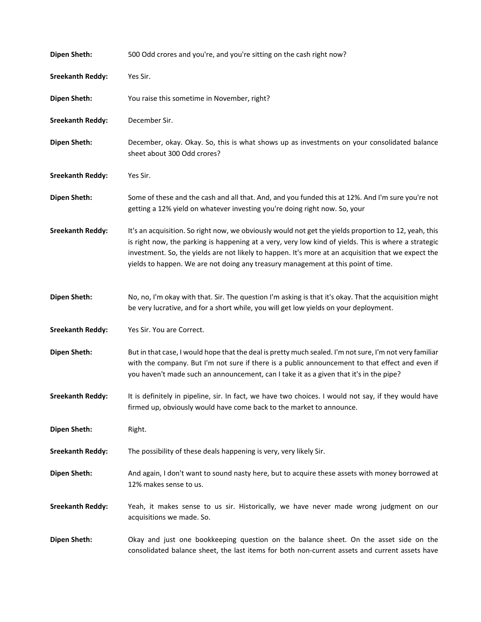| <b>Dipen Sheth:</b>     | 500 Odd crores and you're, and you're sitting on the cash right now?                                                                                                                                                                                                                                                                                                                                      |
|-------------------------|-----------------------------------------------------------------------------------------------------------------------------------------------------------------------------------------------------------------------------------------------------------------------------------------------------------------------------------------------------------------------------------------------------------|
| <b>Sreekanth Reddy:</b> | Yes Sir.                                                                                                                                                                                                                                                                                                                                                                                                  |
| <b>Dipen Sheth:</b>     | You raise this sometime in November, right?                                                                                                                                                                                                                                                                                                                                                               |
| <b>Sreekanth Reddy:</b> | December Sir.                                                                                                                                                                                                                                                                                                                                                                                             |
| <b>Dipen Sheth:</b>     | December, okay. Okay. So, this is what shows up as investments on your consolidated balance<br>sheet about 300 Odd crores?                                                                                                                                                                                                                                                                                |
| <b>Sreekanth Reddy:</b> | Yes Sir.                                                                                                                                                                                                                                                                                                                                                                                                  |
| <b>Dipen Sheth:</b>     | Some of these and the cash and all that. And, and you funded this at 12%. And I'm sure you're not<br>getting a 12% yield on whatever investing you're doing right now. So, your                                                                                                                                                                                                                           |
| <b>Sreekanth Reddy:</b> | It's an acquisition. So right now, we obviously would not get the yields proportion to 12, yeah, this<br>is right now, the parking is happening at a very, very low kind of yields. This is where a strategic<br>investment. So, the yields are not likely to happen. It's more at an acquisition that we expect the<br>yields to happen. We are not doing any treasury management at this point of time. |
| <b>Dipen Sheth:</b>     | No, no, I'm okay with that. Sir. The question I'm asking is that it's okay. That the acquisition might<br>be very lucrative, and for a short while, you will get low yields on your deployment.                                                                                                                                                                                                           |
| <b>Sreekanth Reddy:</b> | Yes Sir. You are Correct.                                                                                                                                                                                                                                                                                                                                                                                 |
| <b>Dipen Sheth:</b>     | But in that case, I would hope that the deal is pretty much sealed. I'm not sure, I'm not very familiar<br>with the company. But I'm not sure if there is a public announcement to that effect and even if<br>you haven't made such an announcement, can I take it as a given that it's in the pipe?                                                                                                      |
| <b>Sreekanth Reddy:</b> | It is definitely in pipeline, sir. In fact, we have two choices. I would not say, if they would have<br>firmed up, obviously would have come back to the market to announce.                                                                                                                                                                                                                              |
| <b>Dipen Sheth:</b>     | Right.                                                                                                                                                                                                                                                                                                                                                                                                    |
| <b>Sreekanth Reddy:</b> | The possibility of these deals happening is very, very likely Sir.                                                                                                                                                                                                                                                                                                                                        |
| <b>Dipen Sheth:</b>     | And again, I don't want to sound nasty here, but to acquire these assets with money borrowed at<br>12% makes sense to us.                                                                                                                                                                                                                                                                                 |
| <b>Sreekanth Reddy:</b> | Yeah, it makes sense to us sir. Historically, we have never made wrong judgment on our<br>acquisitions we made. So.                                                                                                                                                                                                                                                                                       |
| <b>Dipen Sheth:</b>     | Okay and just one bookkeeping question on the balance sheet. On the asset side on the<br>consolidated balance sheet, the last items for both non-current assets and current assets have                                                                                                                                                                                                                   |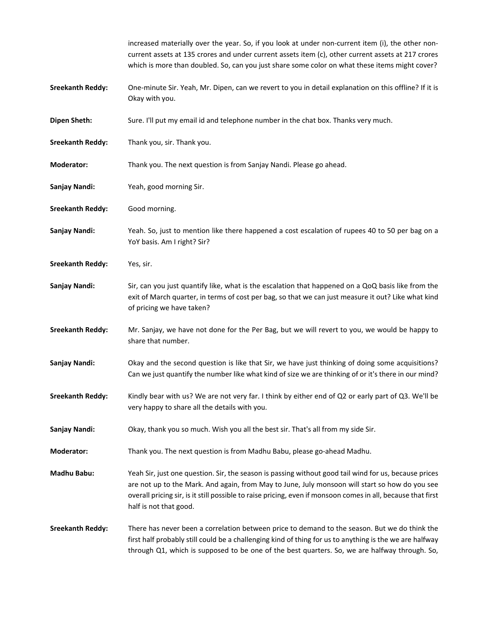|                         | increased materially over the year. So, if you look at under non-current item (i), the other non-<br>current assets at 135 crores and under current assets item (c), other current assets at 217 crores<br>which is more than doubled. So, can you just share some color on what these items might cover?                                         |
|-------------------------|---------------------------------------------------------------------------------------------------------------------------------------------------------------------------------------------------------------------------------------------------------------------------------------------------------------------------------------------------|
| <b>Sreekanth Reddy:</b> | One-minute Sir. Yeah, Mr. Dipen, can we revert to you in detail explanation on this offline? If it is<br>Okay with you.                                                                                                                                                                                                                           |
| <b>Dipen Sheth:</b>     | Sure. I'll put my email id and telephone number in the chat box. Thanks very much.                                                                                                                                                                                                                                                                |
| <b>Sreekanth Reddy:</b> | Thank you, sir. Thank you.                                                                                                                                                                                                                                                                                                                        |
| <b>Moderator:</b>       | Thank you. The next question is from Sanjay Nandi. Please go ahead.                                                                                                                                                                                                                                                                               |
| Sanjay Nandi:           | Yeah, good morning Sir.                                                                                                                                                                                                                                                                                                                           |
| <b>Sreekanth Reddy:</b> | Good morning.                                                                                                                                                                                                                                                                                                                                     |
| Sanjay Nandi:           | Yeah. So, just to mention like there happened a cost escalation of rupees 40 to 50 per bag on a<br>YoY basis. Am I right? Sir?                                                                                                                                                                                                                    |
| <b>Sreekanth Reddy:</b> | Yes, sir.                                                                                                                                                                                                                                                                                                                                         |
| Sanjay Nandi:           | Sir, can you just quantify like, what is the escalation that happened on a QoQ basis like from the<br>exit of March quarter, in terms of cost per bag, so that we can just measure it out? Like what kind<br>of pricing we have taken?                                                                                                            |
| <b>Sreekanth Reddy:</b> | Mr. Sanjay, we have not done for the Per Bag, but we will revert to you, we would be happy to<br>share that number.                                                                                                                                                                                                                               |
| Sanjay Nandi:           | Okay and the second question is like that Sir, we have just thinking of doing some acquisitions?<br>Can we just quantify the number like what kind of size we are thinking of or it's there in our mind?                                                                                                                                          |
| <b>Sreekanth Reddy:</b> | Kindly bear with us? We are not very far. I think by either end of Q2 or early part of Q3. We'll be<br>very happy to share all the details with you.                                                                                                                                                                                              |
| Sanjay Nandi:           | Okay, thank you so much. Wish you all the best sir. That's all from my side Sir.                                                                                                                                                                                                                                                                  |
| <b>Moderator:</b>       | Thank you. The next question is from Madhu Babu, please go-ahead Madhu.                                                                                                                                                                                                                                                                           |
| Madhu Babu:             | Yeah Sir, just one question. Sir, the season is passing without good tail wind for us, because prices<br>are not up to the Mark. And again, from May to June, July monsoon will start so how do you see<br>overall pricing sir, is it still possible to raise pricing, even if monsoon comes in all, because that first<br>half is not that good. |
| <b>Sreekanth Reddy:</b> | There has never been a correlation between price to demand to the season. But we do think the<br>first half probably still could be a challenging kind of thing for us to anything is the we are halfway<br>through Q1, which is supposed to be one of the best quarters. So, we are halfway through. So,                                         |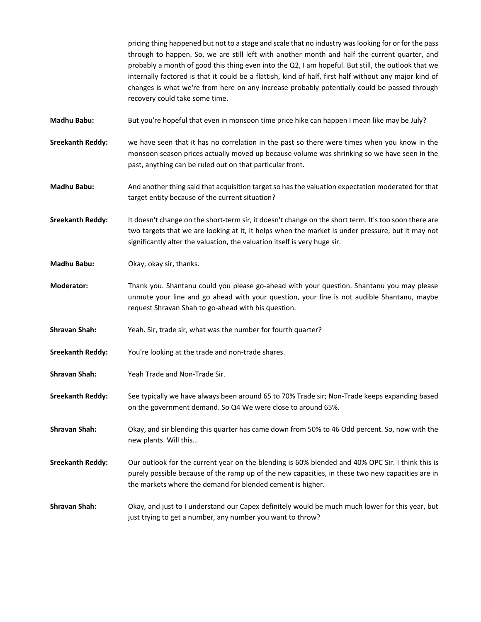pricing thing happened but not to a stage and scale that no industry waslooking for or for the pass through to happen. So, we are still left with another month and half the current quarter, and probably a month of good this thing even into the Q2, I am hopeful. But still, the outlook that we internally factored is that it could be a flattish, kind of half, first half without any major kind of changes is what we're from here on any increase probably potentially could be passed through recovery could take some time.

- **Madhu Babu:** But you're hopeful that even in monsoon time price hike can happen I mean like may be July?
- **Sreekanth Reddy:**  we have seen that it has no correlation in the past so there were times when you know in the monsoon season prices actually moved up because volume was shrinking so we have seen in the past, anything can be ruled out on that particular front.
- **Madhu Babu:**  And another thing said that acquisition target so hasthe valuation expectation moderated for that target entity because of the current situation?
- **Sreekanth Reddy:**  It doesn't change on the short‐term sir, it doesn't change on the short term. It's too soon there are two targets that we are looking at it, it helps when the market is under pressure, but it may not significantly alter the valuation, the valuation itself is very huge sir.
- **Madhu Babu:** Okay, okay sir, thanks.
- **Moderator:** Thank you. Shantanu could you please go-ahead with your question. Shantanu you may please unmute your line and go ahead with your question, your line is not audible Shantanu, maybe request Shravan Shah to go‐ahead with his question.
- **Shravan Shah:**  Yeah. Sir, trade sir, what was the number for fourth quarter?
- **Sreekanth Reddy:** You're looking at the trade and non-trade shares.
- **Shravan Shah:**  Yeah Trade and Non‐Trade Sir.
- **Sreekanth Reddy:**  See typically we have always been around 65 to 70% Trade sir; Non‐Trade keeps expanding based on the government demand. So Q4 We were close to around 65%.
- **Shravan Shah:**  Okay, and sir blending this quarter has came down from 50% to 46 Odd percent. So, now with the new plants. Will this…
- **Sreekanth Reddy:**  Our outlook for the current year on the blending is 60% blended and 40% OPC Sir. I think this is purely possible because of the ramp up of the new capacities, in these two new capacities are in the markets where the demand for blended cement is higher.
- **Shravan Shah:**  Okay, and just to I understand our Capex definitely would be much much lower for this year, but just trying to get a number, any number you want to throw?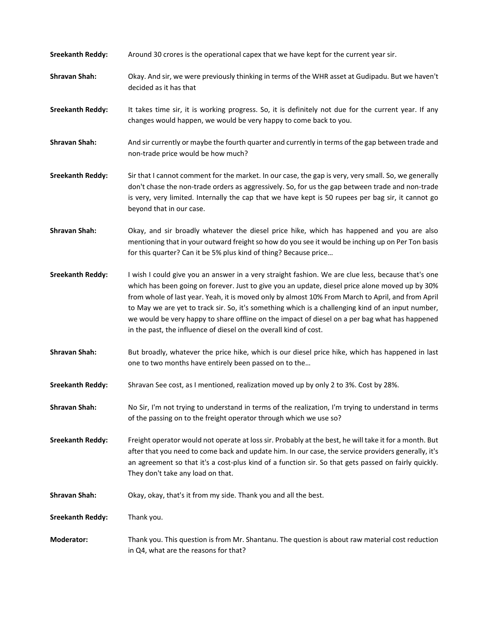| <b>Sreekanth Reddy:</b> | Around 30 crores is the operational capex that we have kept for the current year sir.                                                                                                                                                                                                                                                                                                                                                                                                                                                                                                   |
|-------------------------|-----------------------------------------------------------------------------------------------------------------------------------------------------------------------------------------------------------------------------------------------------------------------------------------------------------------------------------------------------------------------------------------------------------------------------------------------------------------------------------------------------------------------------------------------------------------------------------------|
| <b>Shravan Shah:</b>    | Okay. And sir, we were previously thinking in terms of the WHR asset at Gudipadu. But we haven't<br>decided as it has that                                                                                                                                                                                                                                                                                                                                                                                                                                                              |
| <b>Sreekanth Reddy:</b> | It takes time sir, it is working progress. So, it is definitely not due for the current year. If any<br>changes would happen, we would be very happy to come back to you.                                                                                                                                                                                                                                                                                                                                                                                                               |
| <b>Shravan Shah:</b>    | And sir currently or maybe the fourth quarter and currently in terms of the gap between trade and<br>non-trade price would be how much?                                                                                                                                                                                                                                                                                                                                                                                                                                                 |
| <b>Sreekanth Reddy:</b> | Sir that I cannot comment for the market. In our case, the gap is very, very small. So, we generally<br>don't chase the non-trade orders as aggressively. So, for us the gap between trade and non-trade<br>is very, very limited. Internally the cap that we have kept is 50 rupees per bag sir, it cannot go<br>beyond that in our case.                                                                                                                                                                                                                                              |
| <b>Shravan Shah:</b>    | Okay, and sir broadly whatever the diesel price hike, which has happened and you are also<br>mentioning that in your outward freight so how do you see it would be inching up on Per Ton basis<br>for this quarter? Can it be 5% plus kind of thing? Because price                                                                                                                                                                                                                                                                                                                      |
| <b>Sreekanth Reddy:</b> | I wish I could give you an answer in a very straight fashion. We are clue less, because that's one<br>which has been going on forever. Just to give you an update, diesel price alone moved up by 30%<br>from whole of last year. Yeah, it is moved only by almost 10% From March to April, and from April<br>to May we are yet to track sir. So, it's something which is a challenging kind of an input number,<br>we would be very happy to share offline on the impact of diesel on a per bag what has happened<br>in the past, the influence of diesel on the overall kind of cost. |
| <b>Shravan Shah:</b>    | But broadly, whatever the price hike, which is our diesel price hike, which has happened in last<br>one to two months have entirely been passed on to the                                                                                                                                                                                                                                                                                                                                                                                                                               |
| <b>Sreekanth Reddy:</b> | Shravan See cost, as I mentioned, realization moved up by only 2 to 3%. Cost by 28%.                                                                                                                                                                                                                                                                                                                                                                                                                                                                                                    |
| <b>Shravan Shah:</b>    | No Sir, I'm not trying to understand in terms of the realization, I'm trying to understand in terms<br>of the passing on to the freight operator through which we use so?                                                                                                                                                                                                                                                                                                                                                                                                               |
| <b>Sreekanth Reddy:</b> | Freight operator would not operate at loss sir. Probably at the best, he will take it for a month. But<br>after that you need to come back and update him. In our case, the service providers generally, it's<br>an agreement so that it's a cost-plus kind of a function sir. So that gets passed on fairly quickly.<br>They don't take any load on that.                                                                                                                                                                                                                              |
| <b>Shravan Shah:</b>    | Okay, okay, that's it from my side. Thank you and all the best.                                                                                                                                                                                                                                                                                                                                                                                                                                                                                                                         |
| <b>Sreekanth Reddy:</b> | Thank you.                                                                                                                                                                                                                                                                                                                                                                                                                                                                                                                                                                              |
| <b>Moderator:</b>       | Thank you. This question is from Mr. Shantanu. The question is about raw material cost reduction<br>in Q4, what are the reasons for that?                                                                                                                                                                                                                                                                                                                                                                                                                                               |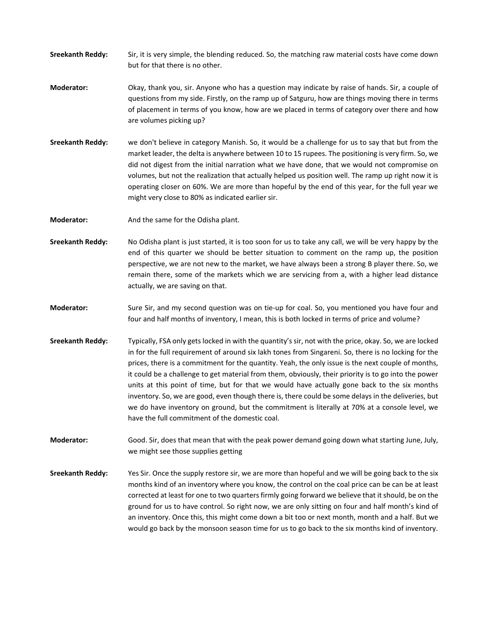- **Sreekanth Reddy:**  Sir, it is very simple, the blending reduced. So, the matching raw material costs have come down but for that there is no other.
- **Moderator:** Okay, thank you, sir. Anyone who has a question may indicate by raise of hands. Sir, a couple of questions from my side. Firstly, on the ramp up of Satguru, how are things moving there in terms of placement in terms of you know, how are we placed in terms of category over there and how are volumes picking up?
- **Sreekanth Reddy:**  we don't believe in category Manish. So, it would be a challenge for us to say that but from the market leader, the delta is anywhere between 10 to 15 rupees. The positioning is very firm. So, we did not digest from the initial narration what we have done, that we would not compromise on volumes, but not the realization that actually helped us position well. The ramp up right now it is operating closer on 60%. We are more than hopeful by the end of this year, for the full year we might very close to 80% as indicated earlier sir.
- **Moderator:** And the same for the Odisha plant.
- **Sreekanth Reddy:**  No Odisha plant is just started, it is too soon for us to take any call, we will be very happy by the end of this quarter we should be better situation to comment on the ramp up, the position perspective, we are not new to the market, we have always been a strong B player there. So, we remain there, some of the markets which we are servicing from a, with a higher lead distance actually, we are saving on that.
- **Moderator:** Sure Sir, and my second question was on tie-up for coal. So, you mentioned you have four and four and half months of inventory, I mean, this is both locked in terms of price and volume?
- **Sreekanth Reddy:**  Typically, FSA only gets locked in with the quantity's sir, not with the price, okay. So, we are locked in for the full requirement of around six lakh tones from Singareni. So, there is no locking for the prices, there is a commitment for the quantity. Yeah, the only issue is the next couple of months, it could be a challenge to get material from them, obviously, their priority is to go into the power units at this point of time, but for that we would have actually gone back to the six months inventory. So, we are good, even though there is, there could be some delays in the deliveries, but we do have inventory on ground, but the commitment is literally at 70% at a console level, we have the full commitment of the domestic coal.
- **Moderator:**  Good. Sir, does that mean that with the peak power demand going down what starting June, July, we might see those supplies getting
- **Sreekanth Reddy:**  Yes Sir. Once the supply restore sir, we are more than hopeful and we will be going back to the six months kind of an inventory where you know, the control on the coal price can be can be at least corrected at least for one to two quarters firmly going forward we believe that it should, be on the ground for us to have control. So right now, we are only sitting on four and half month's kind of an inventory. Once this, this might come down a bit too or next month, month and a half. But we would go back by the monsoon season time for us to go back to the six months kind of inventory.